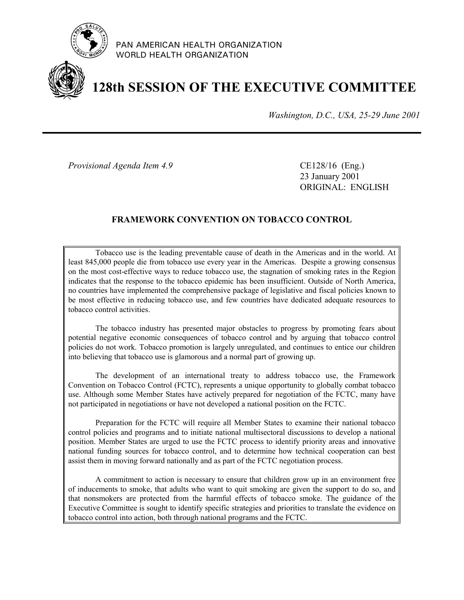

PAN AMERICAN HEALTH ORGANIZATION WORLD HEALTH ORGANIZATION

# **128th SESSION OF THE EXECUTIVE COMMITTEE**

*Washington, D.C., USA, 25-29 June 2001*

*Provisional Agenda Item 4.9* CE128/16 (Eng.)

23 January 2001 ORIGINAL: ENGLISH

### **FRAMEWORK CONVENTION ON TOBACCO CONTROL**

Tobacco use is the leading preventable cause of death in the Americas and in the world. At least 845,000 people die from tobacco use every year in the Americas. Despite a growing consensus on the most cost-effective ways to reduce tobacco use, the stagnation of smoking rates in the Region indicates that the response to the tobacco epidemic has been insufficient. Outside of North America, no countries have implemented the comprehensive package of legislative and fiscal policies known to be most effective in reducing tobacco use, and few countries have dedicated adequate resources to tobacco control activities.

The tobacco industry has presented major obstacles to progress by promoting fears about potential negative economic consequences of tobacco control and by arguing that tobacco control policies do not work. Tobacco promotion is largely unregulated, and continues to entice our children into believing that tobacco use is glamorous and a normal part of growing up.

The development of an international treaty to address tobacco use, the Framework Convention on Tobacco Control (FCTC), represents a unique opportunity to globally combat tobacco use. Although some Member States have actively prepared for negotiation of the FCTC, many have not participated in negotiations or have not developed a national position on the FCTC.

Preparation for the FCTC will require all Member States to examine their national tobacco control policies and programs and to initiate national multisectoral discussions to develop a national position. Member States are urged to use the FCTC process to identify priority areas and innovative national funding sources for tobacco control, and to determine how technical cooperation can best assist them in moving forward nationally and as part of the FCTC negotiation process.

A commitment to action is necessary to ensure that children grow up in an environment free of inducements to smoke, that adults who want to quit smoking are given the support to do so, and that nonsmokers are protected from the harmful effects of tobacco smoke. The guidance of the Executive Committee is sought to identify specific strategies and priorities to translate the evidence on tobacco control into action, both through national programs and the FCTC.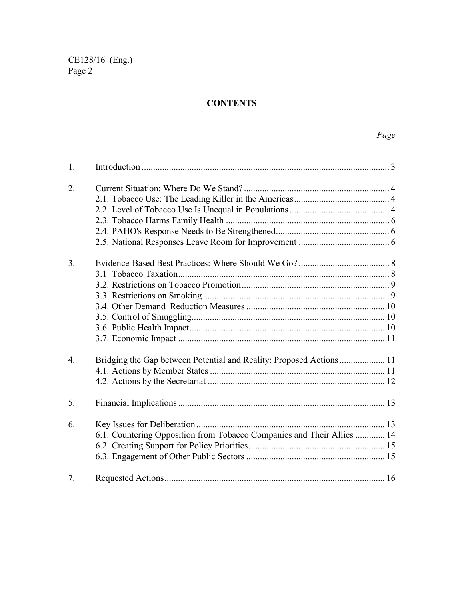# **CONTENTS**

| 1.               |                                                                        |  |
|------------------|------------------------------------------------------------------------|--|
| 2.               |                                                                        |  |
|                  |                                                                        |  |
|                  |                                                                        |  |
|                  |                                                                        |  |
|                  |                                                                        |  |
|                  |                                                                        |  |
| 3 <sub>1</sub>   |                                                                        |  |
|                  |                                                                        |  |
|                  |                                                                        |  |
|                  |                                                                        |  |
|                  |                                                                        |  |
|                  |                                                                        |  |
|                  |                                                                        |  |
|                  |                                                                        |  |
| $\overline{4}$ . | Bridging the Gap between Potential and Reality: Proposed Actions 11    |  |
|                  |                                                                        |  |
|                  |                                                                        |  |
| 5 <sub>1</sub>   |                                                                        |  |
| 6.               |                                                                        |  |
|                  | 6.1. Countering Opposition from Tobacco Companies and Their Allies  14 |  |
|                  |                                                                        |  |
|                  |                                                                        |  |
| 7.               |                                                                        |  |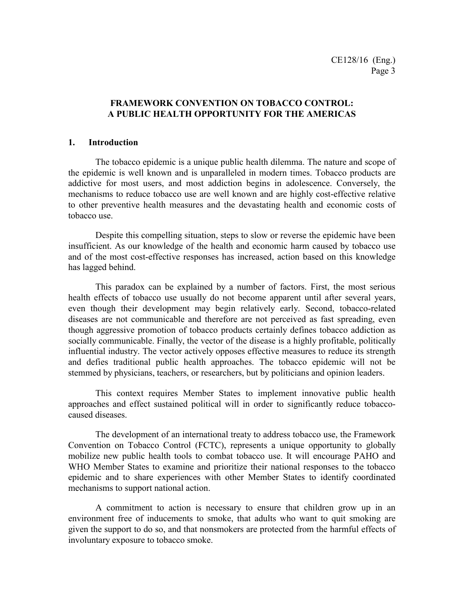#### **FRAMEWORK CONVENTION ON TOBACCO CONTROL: A PUBLIC HEALTH OPPORTUNITY FOR THE AMERICAS**

#### **1. Introduction**

The tobacco epidemic is a unique public health dilemma. The nature and scope of the epidemic is well known and is unparalleled in modern times. Tobacco products are addictive for most users, and most addiction begins in adolescence. Conversely, the mechanisms to reduce tobacco use are well known and are highly cost-effective relative to other preventive health measures and the devastating health and economic costs of tobacco use.

Despite this compelling situation, steps to slow or reverse the epidemic have been insufficient. As our knowledge of the health and economic harm caused by tobacco use and of the most cost-effective responses has increased, action based on this knowledge has lagged behind.

This paradox can be explained by a number of factors. First, the most serious health effects of tobacco use usually do not become apparent until after several years, even though their development may begin relatively early. Second, tobacco-related diseases are not communicable and therefore are not perceived as fast spreading, even though aggressive promotion of tobacco products certainly defines tobacco addiction as socially communicable. Finally, the vector of the disease is a highly profitable, politically influential industry. The vector actively opposes effective measures to reduce its strength and defies traditional public health approaches. The tobacco epidemic will not be stemmed by physicians, teachers, or researchers, but by politicians and opinion leaders.

This context requires Member States to implement innovative public health approaches and effect sustained political will in order to significantly reduce tobaccocaused diseases.

The development of an international treaty to address tobacco use, the Framework Convention on Tobacco Control (FCTC), represents a unique opportunity to globally mobilize new public health tools to combat tobacco use. It will encourage PAHO and WHO Member States to examine and prioritize their national responses to the tobacco epidemic and to share experiences with other Member States to identify coordinated mechanisms to support national action.

A commitment to action is necessary to ensure that children grow up in an environment free of inducements to smoke, that adults who want to quit smoking are given the support to do so, and that nonsmokers are protected from the harmful effects of involuntary exposure to tobacco smoke.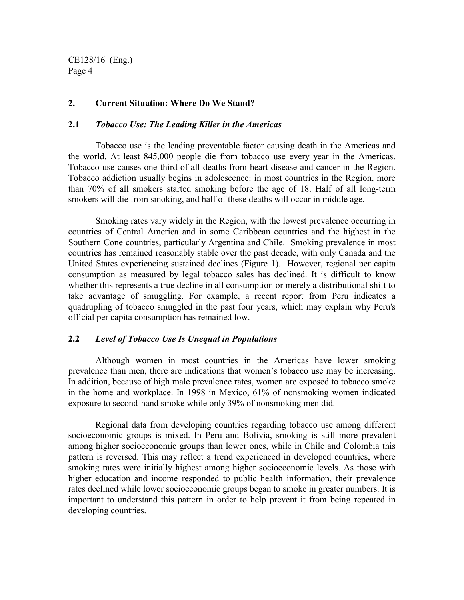#### **2. Current Situation: Where Do We Stand?**

#### **2.1** *Tobacco Use: The Leading Killer in the Americas*

Tobacco use is the leading preventable factor causing death in the Americas and the world. At least 845,000 people die from tobacco use every year in the Americas. Tobacco use causes one-third of all deaths from heart disease and cancer in the Region. Tobacco addiction usually begins in adolescence: in most countries in the Region, more than 70% of all smokers started smoking before the age of 18. Half of all long-term smokers will die from smoking, and half of these deaths will occur in middle age.

Smoking rates vary widely in the Region, with the lowest prevalence occurring in countries of Central America and in some Caribbean countries and the highest in the Southern Cone countries, particularly Argentina and Chile. Smoking prevalence in most countries has remained reasonably stable over the past decade, with only Canada and the United States experiencing sustained declines (Figure 1). However, regional per capita consumption as measured by legal tobacco sales has declined. It is difficult to know whether this represents a true decline in all consumption or merely a distributional shift to take advantage of smuggling. For example, a recent report from Peru indicates a quadrupling of tobacco smuggled in the past four years, which may explain why Peru's official per capita consumption has remained low.

#### **2.2** *Level of Tobacco Use Is Unequal in Populations*

Although women in most countries in the Americas have lower smoking prevalence than men, there are indications that women's tobacco use may be increasing. In addition, because of high male prevalence rates, women are exposed to tobacco smoke in the home and workplace. In 1998 in Mexico, 61% of nonsmoking women indicated exposure to second-hand smoke while only 39% of nonsmoking men did.

Regional data from developing countries regarding tobacco use among different socioeconomic groups is mixed. In Peru and Bolivia, smoking is still more prevalent among higher socioeconomic groups than lower ones, while in Chile and Colombia this pattern is reversed. This may reflect a trend experienced in developed countries, where smoking rates were initially highest among higher socioeconomic levels. As those with higher education and income responded to public health information, their prevalence rates declined while lower socioeconomic groups began to smoke in greater numbers. It is important to understand this pattern in order to help prevent it from being repeated in developing countries.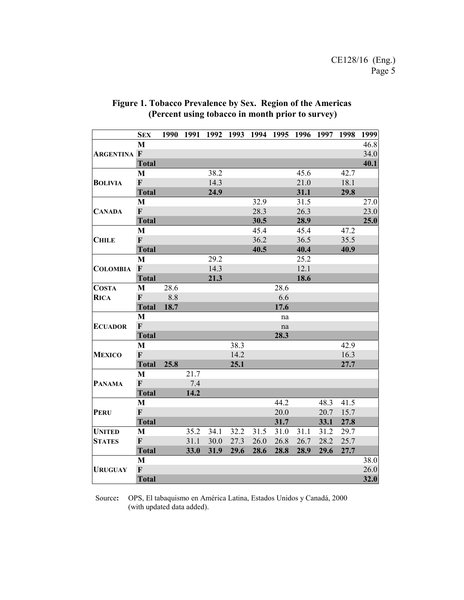|                    | <b>SEX</b>   | 1990 | 1991 |      |      | 1992 1993 1994 1995 1996 1997 |      |      |      | 1998 | 1999 |
|--------------------|--------------|------|------|------|------|-------------------------------|------|------|------|------|------|
|                    | M            |      |      |      |      |                               |      |      |      |      | 46.8 |
| <b>ARGENTINA F</b> |              |      |      |      |      |                               |      |      |      |      | 34.0 |
|                    | <b>Total</b> |      |      |      |      |                               |      |      |      |      | 40.1 |
|                    | M            |      |      | 38.2 |      |                               |      | 45.6 |      | 42.7 |      |
| <b>BOLIVIA</b>     | $\mathbf{F}$ |      |      | 14.3 |      |                               |      | 21.0 |      | 18.1 |      |
|                    | <b>Total</b> |      |      | 24.9 |      |                               |      | 31.1 |      | 29.8 |      |
|                    | M            |      |      |      |      | 32.9                          |      | 31.5 |      |      | 27.0 |
| <b>CANADA</b>      | $\mathbf F$  |      |      |      |      | 28.3                          |      | 26.3 |      |      | 23.0 |
|                    | <b>Total</b> |      |      |      |      | 30.5                          |      | 28.9 |      |      | 25.0 |
|                    | M            |      |      |      |      | 45.4                          |      | 45.4 |      | 47.2 |      |
| <b>CHILE</b>       | $\mathbf{F}$ |      |      |      |      | 36.2                          |      | 36.5 |      | 35.5 |      |
|                    | <b>Total</b> |      |      |      |      | 40.5                          |      | 40.4 |      | 40.9 |      |
|                    | M            |      |      | 29.2 |      |                               |      | 25.2 |      |      |      |
| <b>COLOMBIA</b>    | $\mathbf F$  |      |      | 14.3 |      |                               |      | 12.1 |      |      |      |
|                    | <b>Total</b> |      |      | 21.3 |      |                               |      | 18.6 |      |      |      |
| <b>COSTA</b>       | M            | 28.6 |      |      |      |                               | 28.6 |      |      |      |      |
| <b>RICA</b>        | $\mathbf{F}$ | 8.8  |      |      |      |                               | 6.6  |      |      |      |      |
|                    | <b>Total</b> | 18.7 |      |      |      |                               | 17.6 |      |      |      |      |
|                    | M            |      |      |      |      |                               | na   |      |      |      |      |
| <b>ECUADOR</b>     | $\mathbf F$  |      |      |      |      |                               | na   |      |      |      |      |
|                    | <b>Total</b> |      |      |      |      |                               | 28.3 |      |      |      |      |
|                    | M            |      |      |      | 38.3 |                               |      |      |      | 42.9 |      |
| <b>MEXICO</b>      | $\mathbf F$  |      |      |      | 14.2 |                               |      |      |      | 16.3 |      |
|                    | <b>Total</b> | 25.8 |      |      | 25.1 |                               |      |      |      | 27.7 |      |
|                    | M            |      | 21.7 |      |      |                               |      |      |      |      |      |
| <b>PANAMA</b>      | $\mathbf{F}$ |      | 7.4  |      |      |                               |      |      |      |      |      |
|                    | <b>Total</b> |      | 14.2 |      |      |                               |      |      |      |      |      |
|                    | $\mathbf{M}$ |      |      |      |      |                               | 44.2 |      | 48.3 | 41.5 |      |
| <b>PERU</b>        | $\mathbf F$  |      |      |      |      |                               | 20.0 |      | 20.7 | 15.7 |      |
|                    | <b>Total</b> |      |      |      |      |                               | 31.7 |      | 33.1 | 27.8 |      |
| <b>UNITED</b>      | M            |      | 35.2 | 34.1 | 32.2 | 31.5                          | 31.0 | 31.1 | 31.2 | 29.7 |      |
| <b>STATES</b>      | $\mathbf F$  |      | 31.1 | 30.0 | 27.3 | 26.0                          | 26.8 | 26.7 | 28.2 | 25.7 |      |
|                    | <b>Total</b> |      | 33.0 | 31.9 | 29.6 | 28.6                          | 28.8 | 28.9 | 29.6 | 27.7 |      |
|                    | $\mathbf{M}$ |      |      |      |      |                               |      |      |      |      | 38.0 |
| <b>URUGUAY</b>     | $\mathbf F$  |      |      |      |      |                               |      |      |      |      | 26.0 |
|                    | <b>Total</b> |      |      |      |      |                               |      |      |      |      | 32.0 |

## **Figure 1. Tobacco Prevalence by Sex. Region of the Americas (Percent using tobacco in month prior to survey)**

Source**:** OPS, El tabaquismo en América Latina, Estados Unidos y Canadá, 2000 (with updated data added).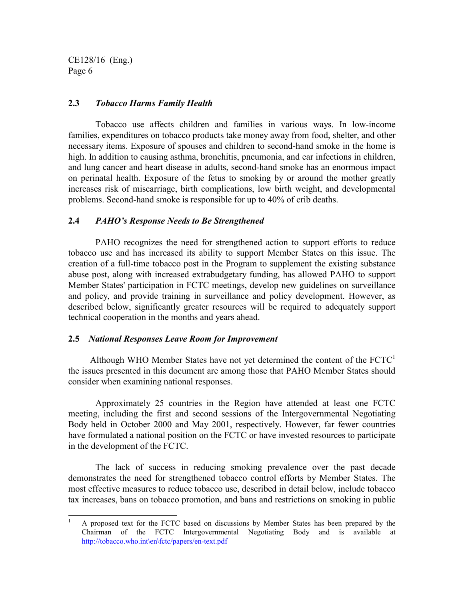$\overline{a}$ 

#### **2.3** *Tobacco Harms Family Health*

Tobacco use affects children and families in various ways. In low-income families, expenditures on tobacco products take money away from food, shelter, and other necessary items. Exposure of spouses and children to second-hand smoke in the home is high. In addition to causing asthma, bronchitis, pneumonia, and ear infections in children, and lung cancer and heart disease in adults, second-hand smoke has an enormous impact on perinatal health. Exposure of the fetus to smoking by or around the mother greatly increases risk of miscarriage, birth complications, low birth weight, and developmental problems. Second-hand smoke is responsible for up to 40% of crib deaths.

#### **2.4** *PAHO's Response Needs to Be Strengthened*

PAHO recognizes the need for strengthened action to support efforts to reduce tobacco use and has increased its ability to support Member States on this issue. The creation of a full-time tobacco post in the Program to supplement the existing substance abuse post, along with increased extrabudgetary funding, has allowed PAHO to support Member States' participation in FCTC meetings, develop new guidelines on surveillance and policy, and provide training in surveillance and policy development. However, as described below, significantly greater resources will be required to adequately support technical cooperation in the months and years ahead.

#### **2.5** *National Responses Leave Room for Improvement*

Although WHO Member States have not yet determined the content of the  $\text{FCTC}^1$ the issues presented in this document are among those that PAHO Member States should consider when examining national responses.

Approximately 25 countries in the Region have attended at least one FCTC meeting, including the first and second sessions of the Intergovernmental Negotiating Body held in October 2000 and May 2001, respectively. However, far fewer countries have formulated a national position on the FCTC or have invested resources to participate in the development of the FCTC.

The lack of success in reducing smoking prevalence over the past decade demonstrates the need for strengthened tobacco control efforts by Member States. The most effective measures to reduce tobacco use, described in detail below, include tobacco tax increases, bans on tobacco promotion, and bans and restrictions on smoking in public

<sup>1</sup> A proposed text for the FCTC based on discussions by Member States has been prepared by the Chairman of the FCTC Intergovernmental Negotiating Body and is available at http://tobacco.who.int\en\fctc/papers/en-text.pdf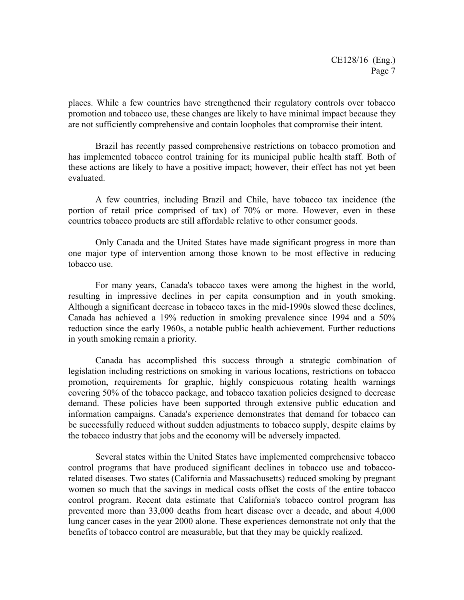places. While a few countries have strengthened their regulatory controls over tobacco promotion and tobacco use, these changes are likely to have minimal impact because they are not sufficiently comprehensive and contain loopholes that compromise their intent.

Brazil has recently passed comprehensive restrictions on tobacco promotion and has implemented tobacco control training for its municipal public health staff. Both of these actions are likely to have a positive impact; however, their effect has not yet been evaluated.

A few countries, including Brazil and Chile, have tobacco tax incidence (the portion of retail price comprised of tax) of 70% or more. However, even in these countries tobacco products are still affordable relative to other consumer goods.

Only Canada and the United States have made significant progress in more than one major type of intervention among those known to be most effective in reducing tobacco use.

For many years, Canada's tobacco taxes were among the highest in the world, resulting in impressive declines in per capita consumption and in youth smoking. Although a significant decrease in tobacco taxes in the mid-1990s slowed these declines, Canada has achieved a 19% reduction in smoking prevalence since 1994 and a 50% reduction since the early 1960s, a notable public health achievement. Further reductions in youth smoking remain a priority.

Canada has accomplished this success through a strategic combination of legislation including restrictions on smoking in various locations, restrictions on tobacco promotion, requirements for graphic, highly conspicuous rotating health warnings covering 50% of the tobacco package, and tobacco taxation policies designed to decrease demand. These policies have been supported through extensive public education and information campaigns. Canada's experience demonstrates that demand for tobacco can be successfully reduced without sudden adjustments to tobacco supply, despite claims by the tobacco industry that jobs and the economy will be adversely impacted.

Several states within the United States have implemented comprehensive tobacco control programs that have produced significant declines in tobacco use and tobaccorelated diseases. Two states (California and Massachusetts) reduced smoking by pregnant women so much that the savings in medical costs offset the costs of the entire tobacco control program. Recent data estimate that California's tobacco control program has prevented more than 33,000 deaths from heart disease over a decade, and about 4,000 lung cancer cases in the year 2000 alone. These experiences demonstrate not only that the benefits of tobacco control are measurable, but that they may be quickly realized.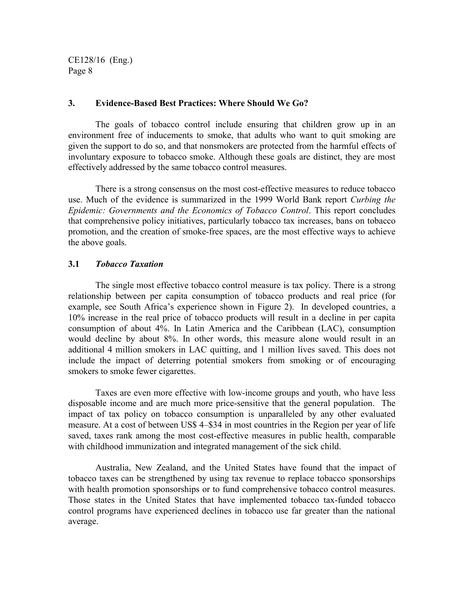#### **3. Evidence-Based Best Practices: Where Should We Go?**

The goals of tobacco control include ensuring that children grow up in an environment free of inducements to smoke, that adults who want to quit smoking are given the support to do so, and that nonsmokers are protected from the harmful effects of involuntary exposure to tobacco smoke. Although these goals are distinct, they are most effectively addressed by the same tobacco control measures.

There is a strong consensus on the most cost-effective measures to reduce tobacco use. Much of the evidence is summarized in the 1999 World Bank report *Curbing the Epidemic: Governments and the Economics of Tobacco Control*. This report concludes that comprehensive policy initiatives, particularly tobacco tax increases, bans on tobacco promotion, and the creation of smoke-free spaces, are the most effective ways to achieve the above goals.

#### **3.1** *Tobacco Taxation*

The single most effective tobacco control measure is tax policy. There is a strong relationship between per capita consumption of tobacco products and real price (for example, see South Africa's experience shown in Figure 2). In developed countries, a 10% increase in the real price of tobacco products will result in a decline in per capita consumption of about 4%. In Latin America and the Caribbean (LAC), consumption would decline by about 8%. In other words, this measure alone would result in an additional 4 million smokers in LAC quitting, and 1 million lives saved. This does not include the impact of deterring potential smokers from smoking or of encouraging smokers to smoke fewer cigarettes.

Taxes are even more effective with low-income groups and youth, who have less disposable income and are much more price-sensitive that the general population. The impact of tax policy on tobacco consumption is unparalleled by any other evaluated measure. At a cost of between US\$ 4–\$34 in most countries in the Region per year of life saved, taxes rank among the most cost-effective measures in public health, comparable with childhood immunization and integrated management of the sick child.

Australia, New Zealand, and the United States have found that the impact of tobacco taxes can be strengthened by using tax revenue to replace tobacco sponsorships with health promotion sponsorships or to fund comprehensive tobacco control measures. Those states in the United States that have implemented tobacco tax-funded tobacco control programs have experienced declines in tobacco use far greater than the national average.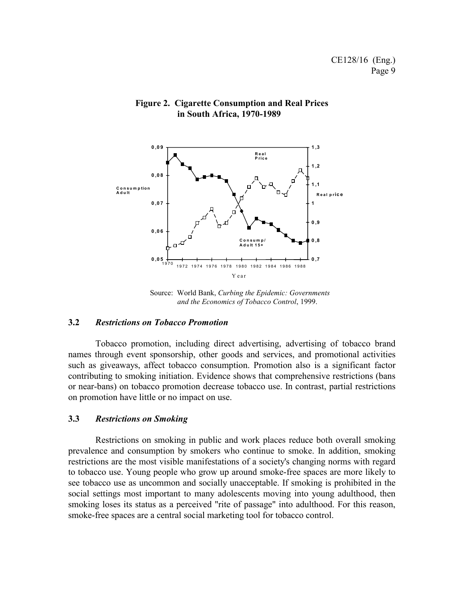

#### **Figure 2. Cigarette Consumption and Real Prices in South Africa, 1970-1989**

Source: World Bank, *Curbing the Epidemic: Governments and the Economics of Tobacco Control*, 1999.

#### **3.2** *Restrictions on Tobacco Promotion*

Tobacco promotion, including direct advertising, advertising of tobacco brand names through event sponsorship, other goods and services, and promotional activities such as giveaways, affect tobacco consumption. Promotion also is a significant factor contributing to smoking initiation. Evidence shows that comprehensive restrictions (bans or near-bans) on tobacco promotion decrease tobacco use. In contrast, partial restrictions on promotion have little or no impact on use.

#### **3.3** *Restrictions on Smoking*

Restrictions on smoking in public and work places reduce both overall smoking prevalence and consumption by smokers who continue to smoke. In addition, smoking restrictions are the most visible manifestations of a society's changing norms with regard to tobacco use. Young people who grow up around smoke-free spaces are more likely to see tobacco use as uncommon and socially unacceptable. If smoking is prohibited in the social settings most important to many adolescents moving into young adulthood, then smoking loses its status as a perceived "rite of passage" into adulthood. For this reason, smoke-free spaces are a central social marketing tool for tobacco control.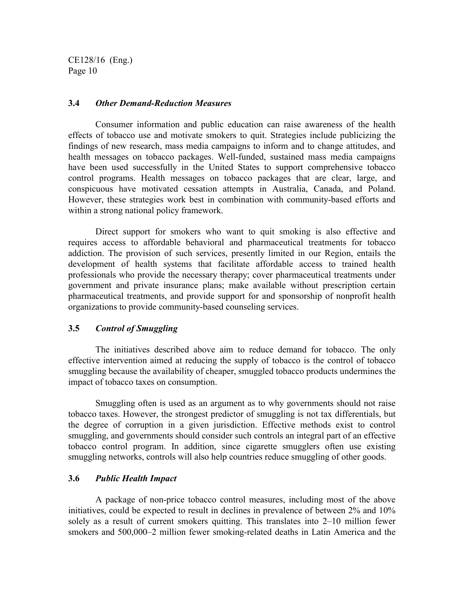#### **3.4** *Other Demand-Reduction Measures*

Consumer information and public education can raise awareness of the health effects of tobacco use and motivate smokers to quit. Strategies include publicizing the findings of new research, mass media campaigns to inform and to change attitudes, and health messages on tobacco packages. Well-funded, sustained mass media campaigns have been used successfully in the United States to support comprehensive tobacco control programs. Health messages on tobacco packages that are clear, large, and conspicuous have motivated cessation attempts in Australia, Canada, and Poland. However, these strategies work best in combination with community-based efforts and within a strong national policy framework.

Direct support for smokers who want to quit smoking is also effective and requires access to affordable behavioral and pharmaceutical treatments for tobacco addiction. The provision of such services, presently limited in our Region, entails the development of health systems that facilitate affordable access to trained health professionals who provide the necessary therapy; cover pharmaceutical treatments under government and private insurance plans; make available without prescription certain pharmaceutical treatments, and provide support for and sponsorship of nonprofit health organizations to provide community-based counseling services.

#### **3.5** *Control of Smuggling*

The initiatives described above aim to reduce demand for tobacco. The only effective intervention aimed at reducing the supply of tobacco is the control of tobacco smuggling because the availability of cheaper, smuggled tobacco products undermines the impact of tobacco taxes on consumption.

Smuggling often is used as an argument as to why governments should not raise tobacco taxes. However, the strongest predictor of smuggling is not tax differentials, but the degree of corruption in a given jurisdiction. Effective methods exist to control smuggling, and governments should consider such controls an integral part of an effective tobacco control program. In addition, since cigarette smugglers often use existing smuggling networks, controls will also help countries reduce smuggling of other goods.

#### **3.6** *Public Health Impact*

A package of non-price tobacco control measures, including most of the above initiatives, could be expected to result in declines in prevalence of between 2% and 10% solely as a result of current smokers quitting. This translates into 2–10 million fewer smokers and 500,000–2 million fewer smoking-related deaths in Latin America and the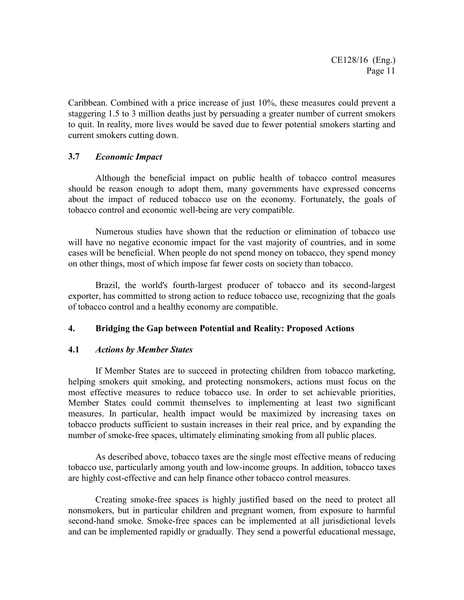Caribbean. Combined with a price increase of just 10%, these measures could prevent a staggering 1.5 to 3 million deaths just by persuading a greater number of current smokers to quit. In reality, more lives would be saved due to fewer potential smokers starting and current smokers cutting down.

#### **3.7** *Economic Impact*

Although the beneficial impact on public health of tobacco control measures should be reason enough to adopt them, many governments have expressed concerns about the impact of reduced tobacco use on the economy. Fortunately, the goals of tobacco control and economic well-being are very compatible.

Numerous studies have shown that the reduction or elimination of tobacco use will have no negative economic impact for the vast majority of countries, and in some cases will be beneficial. When people do not spend money on tobacco, they spend money on other things, most of which impose far fewer costs on society than tobacco.

Brazil, the world's fourth-largest producer of tobacco and its second-largest exporter, has committed to strong action to reduce tobacco use, recognizing that the goals of tobacco control and a healthy economy are compatible.

### **4. Bridging the Gap between Potential and Reality: Proposed Actions**

#### **4.1** *Actions by Member States*

If Member States are to succeed in protecting children from tobacco marketing, helping smokers quit smoking, and protecting nonsmokers, actions must focus on the most effective measures to reduce tobacco use. In order to set achievable priorities, Member States could commit themselves to implementing at least two significant measures. In particular, health impact would be maximized by increasing taxes on tobacco products sufficient to sustain increases in their real price, and by expanding the number of smoke-free spaces, ultimately eliminating smoking from all public places.

As described above, tobacco taxes are the single most effective means of reducing tobacco use, particularly among youth and low-income groups. In addition, tobacco taxes are highly cost-effective and can help finance other tobacco control measures.

Creating smoke-free spaces is highly justified based on the need to protect all nonsmokers, but in particular children and pregnant women, from exposure to harmful second-hand smoke. Smoke-free spaces can be implemented at all jurisdictional levels and can be implemented rapidly or gradually. They send a powerful educational message,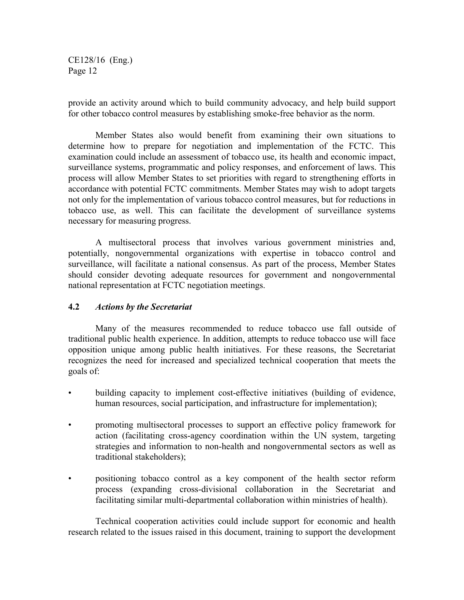provide an activity around which to build community advocacy, and help build support for other tobacco control measures by establishing smoke-free behavior as the norm.

Member States also would benefit from examining their own situations to determine how to prepare for negotiation and implementation of the FCTC. This examination could include an assessment of tobacco use, its health and economic impact, surveillance systems, programmatic and policy responses, and enforcement of laws. This process will allow Member States to set priorities with regard to strengthening efforts in accordance with potential FCTC commitments. Member States may wish to adopt targets not only for the implementation of various tobacco control measures, but for reductions in tobacco use, as well. This can facilitate the development of surveillance systems necessary for measuring progress.

A multisectoral process that involves various government ministries and, potentially, nongovernmental organizations with expertise in tobacco control and surveillance, will facilitate a national consensus. As part of the process, Member States should consider devoting adequate resources for government and nongovernmental national representation at FCTC negotiation meetings.

#### **4.2** *Actions by the Secretariat*

Many of the measures recommended to reduce tobacco use fall outside of traditional public health experience. In addition, attempts to reduce tobacco use will face opposition unique among public health initiatives. For these reasons, the Secretariat recognizes the need for increased and specialized technical cooperation that meets the goals of:

- building capacity to implement cost-effective initiatives (building of evidence, human resources, social participation, and infrastructure for implementation);
- promoting multisectoral processes to support an effective policy framework for action (facilitating cross-agency coordination within the UN system, targeting strategies and information to non-health and nongovernmental sectors as well as traditional stakeholders);
- positioning tobacco control as a key component of the health sector reform process (expanding cross-divisional collaboration in the Secretariat and facilitating similar multi-departmental collaboration within ministries of health).

Technical cooperation activities could include support for economic and health research related to the issues raised in this document, training to support the development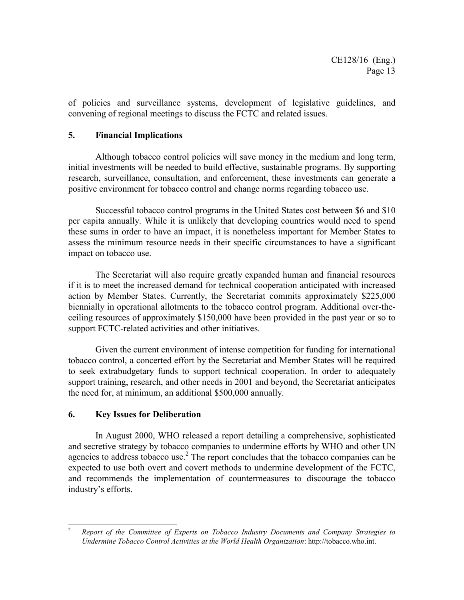of policies and surveillance systems, development of legislative guidelines, and convening of regional meetings to discuss the FCTC and related issues.

#### **5. Financial Implications**

Although tobacco control policies will save money in the medium and long term, initial investments will be needed to build effective, sustainable programs. By supporting research, surveillance, consultation, and enforcement, these investments can generate a positive environment for tobacco control and change norms regarding tobacco use.

Successful tobacco control programs in the United States cost between \$6 and \$10 per capita annually. While it is unlikely that developing countries would need to spend these sums in order to have an impact, it is nonetheless important for Member States to assess the minimum resource needs in their specific circumstances to have a significant impact on tobacco use.

The Secretariat will also require greatly expanded human and financial resources if it is to meet the increased demand for technical cooperation anticipated with increased action by Member States. Currently, the Secretariat commits approximately \$225,000 biennially in operational allotments to the tobacco control program. Additional over-theceiling resources of approximately \$150,000 have been provided in the past year or so to support FCTC-related activities and other initiatives.

Given the current environment of intense competition for funding for international tobacco control, a concerted effort by the Secretariat and Member States will be required to seek extrabudgetary funds to support technical cooperation. In order to adequately support training, research, and other needs in 2001 and beyond, the Secretariat anticipates the need for, at minimum, an additional \$500,000 annually.

### **6. Key Issues for Deliberation**

In August 2000, WHO released a report detailing a comprehensive, sophisticated and secretive strategy by tobacco companies to undermine efforts by WHO and other UN agencies to address tobacco use. $<sup>2</sup>$  The report concludes that the tobacco companies can be</sup> expected to use both overt and covert methods to undermine development of the FCTC, and recommends the implementation of countermeasures to discourage the tobacco industry's efforts.

 $\overline{2}$ <sup>2</sup> *Report of the Committee of Experts on Tobacco Industry Documents and Company Strategies to Undermine Tobacco Control Activities at the World Health Organization*: http://tobacco.who.int.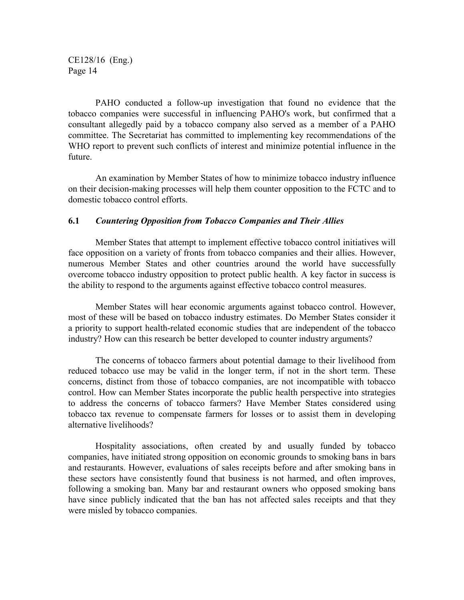PAHO conducted a follow-up investigation that found no evidence that the tobacco companies were successful in influencing PAHO's work, but confirmed that a consultant allegedly paid by a tobacco company also served as a member of a PAHO committee. The Secretariat has committed to implementing key recommendations of the WHO report to prevent such conflicts of interest and minimize potential influence in the future.

An examination by Member States of how to minimize tobacco industry influence on their decision-making processes will help them counter opposition to the FCTC and to domestic tobacco control efforts.

#### **6.1** *Countering Opposition from Tobacco Companies and Their Allies*

Member States that attempt to implement effective tobacco control initiatives will face opposition on a variety of fronts from tobacco companies and their allies. However, numerous Member States and other countries around the world have successfully overcome tobacco industry opposition to protect public health. A key factor in success is the ability to respond to the arguments against effective tobacco control measures.

Member States will hear economic arguments against tobacco control. However, most of these will be based on tobacco industry estimates. Do Member States consider it a priority to support health-related economic studies that are independent of the tobacco industry? How can this research be better developed to counter industry arguments?

The concerns of tobacco farmers about potential damage to their livelihood from reduced tobacco use may be valid in the longer term, if not in the short term. These concerns, distinct from those of tobacco companies, are not incompatible with tobacco control. How can Member States incorporate the public health perspective into strategies to address the concerns of tobacco farmers? Have Member States considered using tobacco tax revenue to compensate farmers for losses or to assist them in developing alternative livelihoods?

Hospitality associations, often created by and usually funded by tobacco companies, have initiated strong opposition on economic grounds to smoking bans in bars and restaurants. However, evaluations of sales receipts before and after smoking bans in these sectors have consistently found that business is not harmed, and often improves, following a smoking ban. Many bar and restaurant owners who opposed smoking bans have since publicly indicated that the ban has not affected sales receipts and that they were misled by tobacco companies.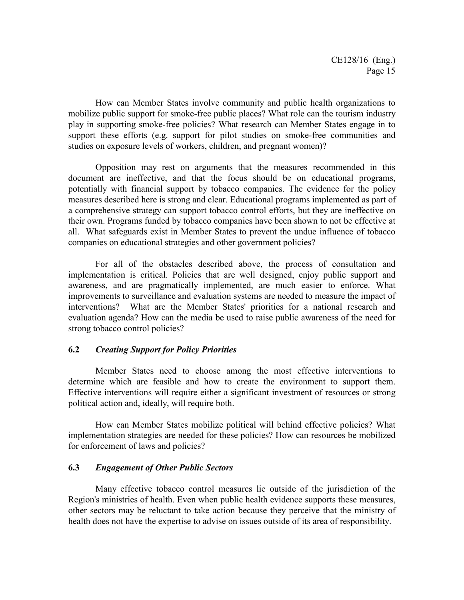How can Member States involve community and public health organizations to mobilize public support for smoke-free public places? What role can the tourism industry play in supporting smoke-free policies? What research can Member States engage in to support these efforts (e.g. support for pilot studies on smoke-free communities and studies on exposure levels of workers, children, and pregnant women)?

Opposition may rest on arguments that the measures recommended in this document are ineffective, and that the focus should be on educational programs, potentially with financial support by tobacco companies. The evidence for the policy measures described here is strong and clear. Educational programs implemented as part of a comprehensive strategy can support tobacco control efforts, but they are ineffective on their own. Programs funded by tobacco companies have been shown to not be effective at all. What safeguards exist in Member States to prevent the undue influence of tobacco companies on educational strategies and other government policies?

For all of the obstacles described above, the process of consultation and implementation is critical. Policies that are well designed, enjoy public support and awareness, and are pragmatically implemented, are much easier to enforce. What improvements to surveillance and evaluation systems are needed to measure the impact of interventions? What are the Member States' priorities for a national research and evaluation agenda? How can the media be used to raise public awareness of the need for strong tobacco control policies?

#### **6.2** *Creating Support for Policy Priorities*

Member States need to choose among the most effective interventions to determine which are feasible and how to create the environment to support them. Effective interventions will require either a significant investment of resources or strong political action and, ideally, will require both.

How can Member States mobilize political will behind effective policies? What implementation strategies are needed for these policies? How can resources be mobilized for enforcement of laws and policies?

#### **6.3** *Engagement of Other Public Sectors*

Many effective tobacco control measures lie outside of the jurisdiction of the Region's ministries of health. Even when public health evidence supports these measures, other sectors may be reluctant to take action because they perceive that the ministry of health does not have the expertise to advise on issues outside of its area of responsibility.